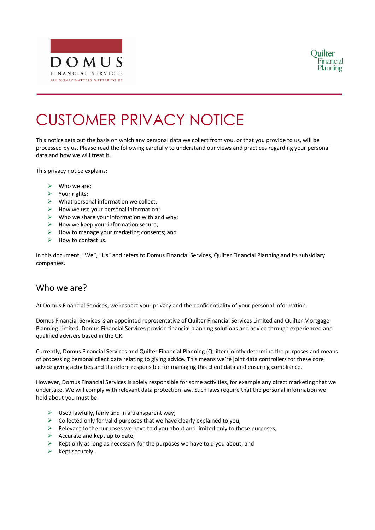



# CUSTOMER PRIVACY NOTICE

This notice sets out the basis on which any personal data we collect from you, or that you provide to us, will be processed by us. Please read the following carefully to understand our views and practices regarding your personal data and how we will treat it.

This privacy notice explains:

- $\triangleright$  Who we are;
- $\triangleright$  Your rights;
- $\triangleright$  What personal information we collect;
- $\triangleright$  How we use your personal information;
- $\triangleright$  Who we share your information with and why;
- $\triangleright$  How we keep your information secure;
- $\triangleright$  How to manage your marketing consents; and
- $\triangleright$  How to contact us.

In this document, "We", "Us" and refers to Domus Financial Services, Quilter Financial Planning and its subsidiary companies.

#### Who we are?

At Domus Financial Services, we respect your privacy and the confidentiality of your personal information.

Domus Financial Services is an appointed representative of Quilter Financial Services Limited and Quilter Mortgage Planning Limited. Domus Financial Services provide financial planning solutions and advice through experienced and qualified advisers based in the UK.

Currently, Domus Financial Services and Quilter Financial Planning (Quilter) jointly determine the purposes and means of processing personal client data relating to giving advice. This means we're joint data controllers for these core advice giving activities and therefore responsible for managing this client data and ensuring compliance.

However, Domus Financial Services is solely responsible for some activities, for example any direct marketing that we undertake. We will comply with relevant data protection law. Such laws require that the personal information we hold about you must be:

- $\triangleright$  Used lawfully, fairly and in a transparent way;
- $\triangleright$  Collected only for valid purposes that we have clearly explained to you;
- $\triangleright$  Relevant to the purposes we have told you about and limited only to those purposes;
- $\triangleright$  Accurate and kept up to date;
- $\triangleright$  Kept only as long as necessary for the purposes we have told you about; and
- $\triangleright$  Kept securely.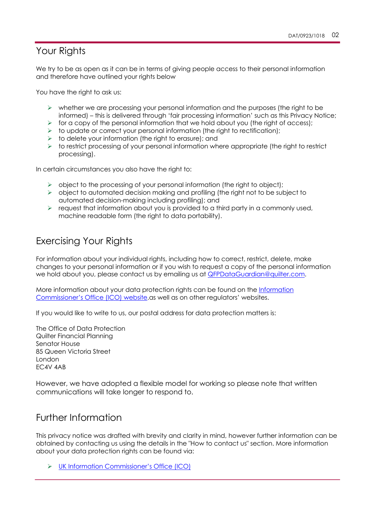#### Your Rights

We try to be as open as it can be in terms of giving people access to their personal information and therefore have outlined your rights below

You have the right to ask us:

- $\triangleright$  whether we are processing your personal information and the purposes (the right to be informed) – this is delivered through 'fair processing information' such as this Privacy Notice;
- $\triangleright$  for a copy of the personal information that we hold about you (the right of access);
- $\triangleright$  to update or correct your personal information (the right to rectification);
- $\triangleright$  to delete your information (the right to erasure); and
- $\triangleright$  to restrict processing of your personal information where appropriate (the right to restrict processing).

In certain circumstances you also have the right to:

- $\triangleright$  object to the processing of your personal information (the right to object);
- $\triangleright$  object to automated decision making and profiling (the right not to be subject to automated decision-making including profiling); and
- $\triangleright$  request that information about you is provided to a third party in a commonly used, machine readable form (the right to data portability).

#### Exercising Your Rights

For information about your individual rights, including how to correct, restrict, delete, make changes to your personal information or if you wish to request a copy of the personal information we hold about you, please contact us by emailing us at QFPDataGuardian@quilter.com.

More information about your data protection rights can be found on the Information Commissioner's Office (ICO) website.as well as on other regulators' websites.

If you would like to write to us, our postal address for data protection matters is:

The Office of Data Protection Quilter Financial Planning Senator House 85 Queen Victoria Street London EC4V 4AB

However, we have adopted a flexible model for working so please note that written communications will take longer to respond to.

#### Further Information

This privacy notice was drafted with brevity and clarity in mind, however further information can be obtained by contacting us using the details in the "How to contact us" section. More information about your data protection rights can be found via:

Ø UK Information Commissioner's Office (ICO)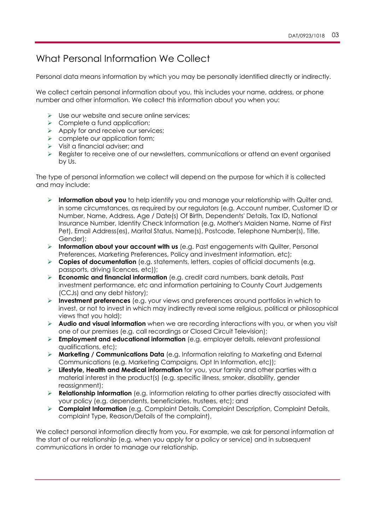## What Personal Information We Collect

Personal data means information by which you may be personally identified directly or indirectly.

We collect certain personal information about you, this includes your name, address, or phone number and other information. We collect this information about you when you:

- $\triangleright$  Use our website and secure online services;
- $\triangleright$  Complete a fund application;
- $\triangleright$  Apply for and receive our services;
- $\triangleright$  complete our application form;
- $\triangleright$  Visit a financial adviser; and
- $\triangleright$  Register to receive one of our newsletters, communications or attend an event organised by Us.

The type of personal information we collect will depend on the purpose for which it is collected and may include:

- Ø **Information about you** to help identify you and manage your relationship with Quilter and, in some circumstances, as required by our regulators (e.g. Account number, Customer ID or Number, Name, Address, Age / Date(s) Of Birth, Dependents' Details, Tax ID, National Insurance Number, Identity Check Information (e.g. Mother's Maiden Name, Name of First Pet), Email Address(es), Marital Status, Name(s), Postcode, Telephone Number(s), Title, Gender);
- Ø **Information about your account with us** (e.g. Past engagements with Quilter, Personal Preferences, Marketing Preferences, Policy and investment information, etc);
- Ø **Copies of documentation** (e.g. statements, letters, copies of official documents (e.g. passports, driving licences, etc));
- Ø **Economic and financial information** (e.g. credit card numbers, bank details, Past investment performance, etc and information pertaining to County Court Judgements (CCJs) and any debt history);
- Ø **Investment preferences** (e.g. your views and preferences around portfolios in which to invest, or not to invest in which may indirectly reveal some religious, political or philosophical views that you hold);
- Ø **Audio and visual information** when we are recording interactions with you, or when you visit one of our premises (e.g. call recordings or Closed Circuit Television);
- Ø **Employment and educational information** (e.g. employer details, relevant professional qualifications, etc);
- Ø **Marketing / Communications Data** (e.g. Information relating to Marketing and External Communications (e.g. Marketing Campaigns, Opt In Information, etc));
- Ø **Lifestyle, Health and Medical information** for you, your family and other parties with a material interest in the product(s) (e.g. specific illness, smoker, disability, gender reassignment);
- Ø **Relationship Information** (e.g. information relating to other parties directly associated with your policy (e.g. dependents, beneficiaries, trustees, etc); and
- Ø **Complaint Information** (e.g. Complaint Details, Complaint Description, Complaint Details, complaint Type, Reason/Details of the complaint),

We collect personal information directly from you. For example, we ask for personal information at the start of our relationship (e.g. when you apply for a policy or service) and in subsequent communications in order to manage our relationship.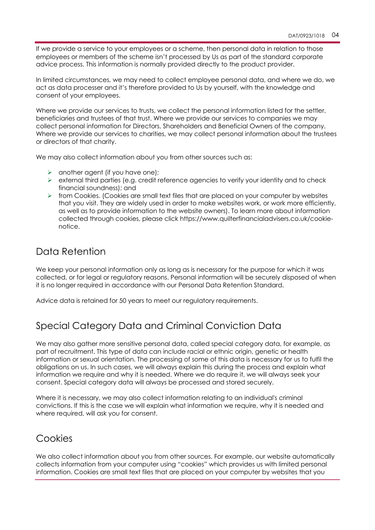If we provide a service to your employees or a scheme, then personal data in relation to those employees or members of the scheme isn't processed by Us as part of the standard corporate advice process. This information is normally provided directly to the product provider.

In limited circumstances, we may need to collect employee personal data, and where we do, we act as data processer and it's therefore provided to Us by yourself, with the knowledge and consent of your employees.

Where we provide our services to trusts, we collect the personal information listed for the settler, beneficiaries and trustees of that trust. Where we provide our services to companies we may collect personal information for Directors, Shareholders and Beneficial Owners of the company. Where we provide our services to charities, we may collect personal information about the trustees or directors of that charity.

We may also collect information about you from other sources such as:

- $\triangleright$  another agent (if you have one);
- $\triangleright$  external third parties (e.g. credit reference agencies to verify your identity and to check financial soundness); and
- $\triangleright$  from Cookies. (Cookies are small text files that are placed on your computer by websites that you visit. They are widely used in order to make websites work, or work more efficiently, as well as to provide information to the website owners). To learn more about information collected through cookies, please click https://www.quilterfinancialadvisers.co.uk/cookienotice.

## Data Retention

We keep your personal information only as long as is necessary for the purpose for which it was collected, or for legal or regulatory reasons. Personal information will be securely disposed of when it is no longer required in accordance with our Personal Data Retention Standard.

Advice data is retained for 50 years to meet our regulatory requirements.

# Special Category Data and Criminal Conviction Data

We may also gather more sensitive personal data, called special category data, for example, as part of recruitment. This type of data can include racial or ethnic origin, genetic or health information or sexual orientation. The processing of some of this data is necessary for us to fulfil the obligations on us. In such cases, we will always explain this during the process and explain what information we require and why it is needed. Where we do require it, we will always seek your consent. Special category data will always be processed and stored securely.

Where it is necessary, we may also collect information relating to an individual's criminal convictions. If this is the case we will explain what information we require, why it is needed and where required, will ask you for consent.

#### **Cookies**

We also collect information about you from other sources. For example, our website automatically collects information from your computer using "cookies" which provides us with limited personal information. Cookies are small text files that are placed on your computer by websites that you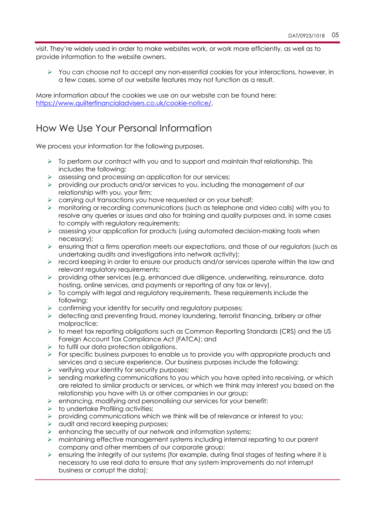visit. They're widely used in order to make websites work, or work more efficiently, as well as to provide information to the website owners.

 $\triangleright$  You can choose not to accept any non-essential cookies for your interactions, however, in a few cases, some of our website features may not function as a result.

More information about the cookies we use on our website can be found here: https://www.quilterfinancialadvisers.co.uk/cookie-notice/.

#### How We Use Your Personal Information

We process your information for the following purposes.

- $\triangleright$  To perform our contract with you and to support and maintain that relationship. This includes the following:
- $\triangleright$  assessing and processing an application for our services;
- Ø providing our products and/or services to you, including the management of our relationship with you, your firm;
- $\triangleright$  carrying out transactions you have requested or on your behalf;
- Ø monitoring or recording communications (such as telephone and video calls) with you to resolve any queries or issues and also for training and quality purposes and, in some cases to comply with regulatory requirements;
- $\triangleright$  assessing your application for products (using automated decision-making tools when necessary);
- $\triangleright$  ensuring that a firms operation meets our expectations, and those of our regulators (such as undertaking audits and investigations into network activity);
- $\triangleright$  record keeping in order to ensure our products and/or services operate within the law and relevant regulatory requirements;
- $\triangleright$  providing other services (e.g. enhanced due diligence, underwriting, reinsurance, data hosting, online services, and payments or reporting of any tax or levy).
- $\triangleright$  To comply with legal and regulatory requirements. These requirements include the following:
- $\triangleright$  confirming your identity for security and regulatory purposes;
- $\triangleright$  detecting and preventing fraud, money laundering, terrorist financing, bribery or other malpractice;
- Ø to meet tax reporting obligations such as Common Reporting Standards (CRS) and the US Foreign Account Tax Compliance Act (FATCA); and
- $\triangleright$  to fulfil our data protection obligations.
- $\triangleright$  For specific business purposes to enable us to provide you with appropriate products and services and a secure experience. Our business purposes include the following:
- $\triangleright$  verifying your identity for security purposes;
- $\triangleright$  sending marketing communications to you which you have opted into receiving, or which are related to similar products or services, or which we think may interest you based on the relationship you have with Us or other companies in our group;
- $\triangleright$  enhancing, modifying and personalising our services for your benefit;
- $\triangleright$  to undertake Profiling activities;
- $\triangleright$  providing communications which we think will be of relevance or interest to you;
- $\triangleright$  audit and record keeping purposes;
- $\triangleright$  enhancing the security of our network and information systems;
- $\triangleright$  maintaining effective management systems including internal reporting to our parent company and other members of our corporate group;
- $\triangleright$  ensuring the integrity of our systems (for example, during final stages of testing where it is necessary to use real data to ensure that any system improvements do not interrupt business or corrupt the data);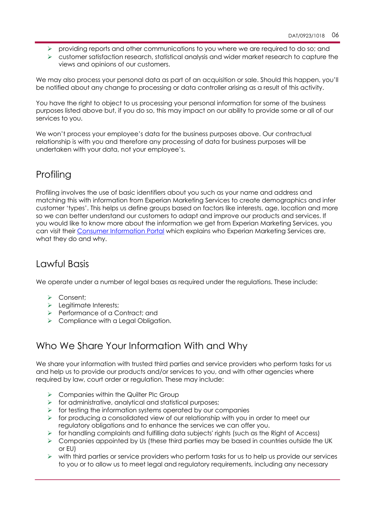- Ø providing reports and other communications to you where we are required to do so; and
- $\triangleright$  customer satisfaction research, statistical analysis and wider market research to capture the views and opinions of our customers.

We may also process your personal data as part of an acquisition or sale. Should this happen, you'll be notified about any change to processing or data controller arising as a result of this activity.

You have the right to object to us processing your personal information for some of the business purposes listed above but, if you do so, this may impact on our ability to provide some or all of our services to you.

We won't process your employee's data for the business purposes above. Our contractual relationship is with you and therefore any processing of data for business purposes will be undertaken with your data, not your employee's.

## **Profiling**

Profiling involves the use of basic identifiers about you such as your name and address and matching this with information from Experian Marketing Services to create demographics and infer customer 'types'. This helps us define groups based on factors like interests, age, location and more so we can better understand our customers to adapt and improve our products and services. If you would like to know more about the information we get from Experian Marketing Services, you can visit their Consumer Information Portal which explains who Experian Marketing Services are, what they do and why.

#### Lawful Basis

We operate under a number of legal bases as required under the regulations. These include:

- Ø Consent;
- $\blacktriangleright$  Legitimate Interests:
- Ø Performance of a Contract; and
- $\triangleright$  Compliance with a Legal Obligation.

## Who We Share Your Information With and Why

We share your information with trusted third parties and service providers who perform tasks for us and help us to provide our products and/or services to you, and with other agencies where required by law, court order or regulation. These may include:

- $\triangleright$  Companies within the Quilter Plc Group
- $\triangleright$  for administrative, analytical and statistical purposes;
- $\triangleright$  for testing the information systems operated by our companies
- $\triangleright$  for producing a consolidated view of our relationship with you in order to meet our regulatory obligations and to enhance the services we can offer you.
- $\triangleright$  for handling complaints and fulfilling data subjects' rights (such as the Right of Access)
- $\triangleright$  Companies appointed by Us (these third parties may be based in countries outside the UK or EU)
- $\triangleright$  with third parties or service providers who perform tasks for us to help us provide our services to you or to allow us to meet legal and regulatory requirements, including any necessary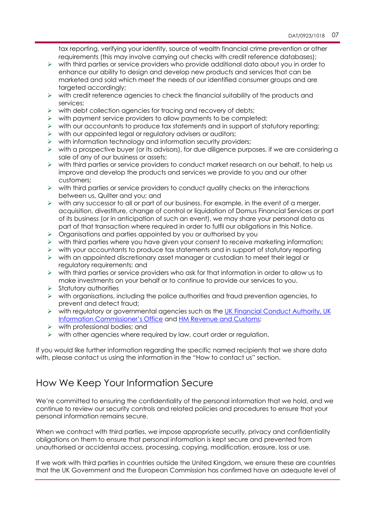tax reporting, verifying your identity, source of wealth financial crime prevention or other requirements (this may involve carrying out checks with credit reference databases);

- $\triangleright$  with third parties or service providers who provide additional data about you in order to enhance our ability to design and develop new products and services that can be marketed and sold which meet the needs of our identified consumer groups and are targeted accordingly;
- $\triangleright$  with credit reference agencies to check the financial suitability of the products and services;
- $\triangleright$  with debt collection agencies for tracing and recovery of debts;
- $\triangleright$  with payment service providers to allow payments to be completed;
- $\triangleright$  with our accountants to produce tax statements and in support of statutory reporting;
- $\triangleright$  with our appointed legal or regulatory advisers or auditors;
- $\triangleright$  with information technology and information security providers;
- $\triangleright$  with a prospective buyer (or its advisors), for due diligence purposes, if we are considering a sale of any of our business or assets;
- $\triangleright$  with third parties or service providers to conduct market research on our behalf, to help us improve and develop the products and services we provide to you and our other customers;
- $\triangleright$  with third parties or service providers to conduct quality checks on the interactions between us, Quilter and you; and
- $\triangleright$  with any successor to all or part of our business. For example, in the event of a merger, acquisition, divestiture, change of control or liquidation of Domus Financial Services or part of its business (or in anticipation of such an event), we may share your personal data as part of that transaction where required in order to fulfil our obligations in this Notice.
- $\triangleright$  Organisations and parties appointed by you or authorised by you
- $\triangleright$  with third parties where you have given your consent to receive marketing information;
- $\triangleright$  with your accountants to produce tax statements and in support of statutory reporting
- $\triangleright$  with an appointed discretionary asset manager or custodian to meet their legal or regulatory requirements; and
- $\triangleright$  with third parties or service providers who ask for that information in order to allow us to make investments on your behalf or to continue to provide our services to you.
- $\triangleright$  Statutory authorities
- $\triangleright$  with organisations, including the police authorities and fraud prevention agencies, to prevent and detect fraud;
- $\triangleright$  with regulatory or governmental agencies such as the UK Financial Conduct Authority, UK Information Commissioner's Office and HM Revenue and Customs;
- $\triangleright$  with professional bodies; and
- $\triangleright$  with other agencies where required by law, court order or regulation.

If you would like further information regarding the specific named recipients that we share data with, please contact us using the information in the "How to contact us" section.

## How We Keep Your Information Secure

We're committed to ensuring the confidentiality of the personal information that we hold, and we continue to review our security controls and related policies and procedures to ensure that your personal information remains secure.

When we contract with third parties, we impose appropriate security, privacy and confidentiality obligations on them to ensure that personal information is kept secure and prevented from unauthorised or accidental access, processing, copying, modification, erasure, loss or use.

If we work with third parties in countries outside the United Kingdom, we ensure these are countries that the UK Government and the European Commission has confirmed have an adequate level of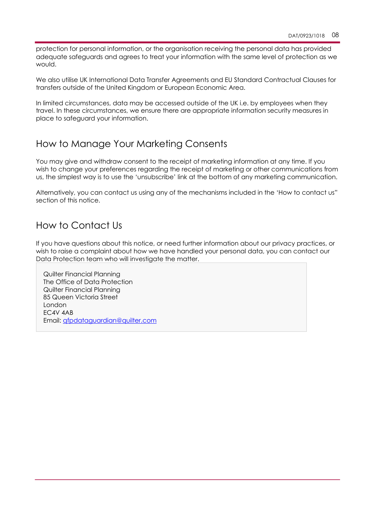protection for personal information, or the organisation receiving the personal data has provided adequate safeguards and agrees to treat your information with the same level of protection as we would.

We also utilise UK International Data Transfer Agreements and EU Standard Contractual Clauses for transfers outside of the United Kingdom or European Economic Area.

In limited circumstances, data may be accessed outside of the UK i.e. by employees when they travel. In these circumstances, we ensure there are appropriate information security measures in place to safeguard your information.

## How to Manage Your Marketing Consents

You may give and withdraw consent to the receipt of marketing information at any time. If you wish to change your preferences regarding the receipt of marketing or other communications from us, the simplest way is to use the 'unsubscribe' link at the bottom of any marketing communication.

Alternatively, you can contact us using any of the mechanisms included in the 'How to contact us" section of this notice.

## How to Contact Us

If you have questions about this notice, or need further information about our privacy practices, or wish to raise a complaint about how we have handled your personal data, you can contact our Data Protection team who will investigate the matter.

Quilter Financial Planning The Office of Data Protection Quilter Financial Planning 85 Queen Victoria Street London EC4V 4AB Email: qfpdataguardian@quilter.com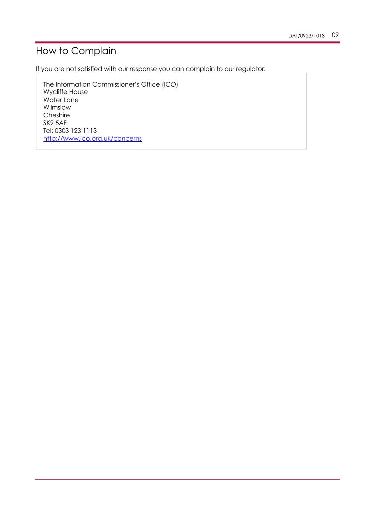# How to Complain

If you are not satisfied with our response you can complain to our regulator:

The Information Commissioner's Office (ICO) Wycliffe House Water Lane Wilmslow Cheshire SK9 5AF Tel: 0303 123 1113 http://www.ico.org.uk/concerns